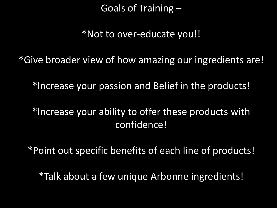Goals of Training –

\*Not to over-educate you!!

\*Give broader view of how amazing our ingredients are!

\*Increase your passion and Belief in the products!

\*Increase your ability to offer these products with confidence!

\*Point out specific benefits of each line of products!

\*Talk about a few unique Arbonne ingredients!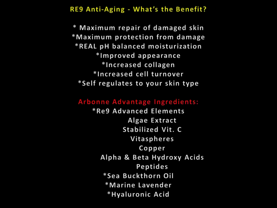**RE9 Anti-Aging - What's the Benefit?** 

\* Maximum repair of damaged skin \*Maximum protection from damage \*REAL pH balanced moisturization \*Improved appearance \*Increased collagen \*Increased cell turnover \*Self regulates to your skin type

#### Arbonne Advantage Ingredients:

\*Re9 Advanced Elements Algae Extract **Stabilized Vit. C Vitaspheres** Copper Alpha & Beta Hydroxy Acids Peptides \*Sea Buckthorn Oil \*Marine Lavender \*Hyaluronic Acid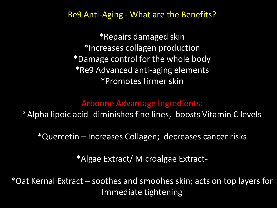Re9 Anti-Aging - What are the Benefits?

\*Repairs damaged skin \*Increases collagen production \*Damage control for the whole body \*Re9 Advanced anti-aging elements \*Promotes firmer skin

### Arbonne Advantage Ingredients:

\*Alpha lipoic acid- diminishes fine lines, boosts Vitamin C levels

\*Quercetin – Increases Collagen; decreases cancer risks

\*Algae Extract/ Microalgae Extract-

\*Oat Kernal Extract – soothes and smoohes skin; acts on top layers for Immediate tightening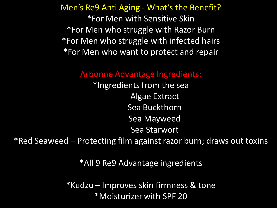Men's Re9 Anti Aging - What's the Benefit? \*For Men with Sensitive Skin \*For Men who struggle with Razor Burn \*For Men who struggle with infected hairs \*For Men who want to protect and repair

### Arbonne Advantage Ingredients:

\*Ingredients from the sea Algae Extract Sea Buckthorn Sea Mayweed Sea Starwort

\*Red Seaweed – Protecting film against razor burn; draws out toxins

\*All 9 Re9 Advantage ingredients

\*Kudzu – Improves skin firmness & tone \*Moisturizer with SPF 20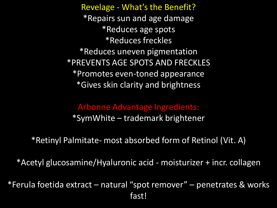Revelage - What's the Benefit? \*Repairs sun and age damage \*Reduces age spots \*Reduces freckles \*Reduces uneven pigmentation \*PREVENTS AGE SPOTS AND FRECKLES \*Promotes even-toned appearance \*Gives skin clarity and brightness

### Arbonne Advantage Ingredients:

\*SymWhite – trademark brightener

\*Retinyl Palmitate- most absorbed form of Retinol (Vit. A)

\*Acetyl glucosamine/Hyaluronic acid - moisturizer + incr. collagen

\*Ferula foetida extract – natural "spot remover" – penetrates & works fast!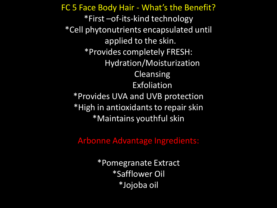FC 5 Face Body Hair - What's the Benefit? \*First –of-its-kind technology \*Cell phytonutrients encapsulated until applied to the skin. \*Provides completely FRESH: Hydration/Moisturization Cleansing Exfoliation \*Provides UVA and UVB protection \*High in antioxidants to repair skin \*Maintains youthful skin

Arbonne Advantage Ingredients:

\*Pomegranate Extract \*Safflower Oil \*Jojoba oil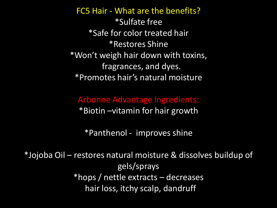FC5 Hair - What are the benefits? \*Sulfate free \*Safe for color treated hair \*Restores Shine \*Won't weigh hair down with toxins, fragrances, and dyes. \*Promotes hair's natural moisture

Arbonne Advantage Ingredients: \*Biotin –vitamin for hair growth

\*Panthenol - improves shine

\*Jojoba Oil – restores natural moisture & dissolves buildup of gels/sprays \*hops / nettle extracts – decreases hair loss, itchy scalp, dandruff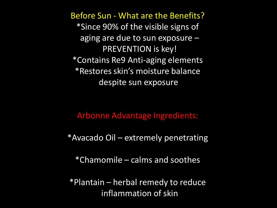Before Sun - What are the Benefits? \*Since 90% of the visible signs of aging are due to sun exposure – PREVENTION is key! \*Contains Re9 Anti-aging elements \*Restores skin's moisture balance despite sun exposure

Arbonne Advantage Ingredients:

\*Avacado Oil – extremely penetrating

\*Chamomile – calms and soothes

\*Plantain – herbal remedy to reduce inflammation of skin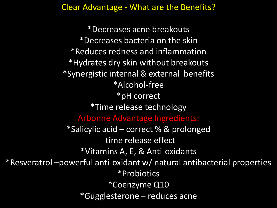Clear Advantage - What are the Benefits?

\*Decreases acne breakouts \*Decreases bacteria on the skin \*Reduces redness and inflammation \*Hydrates dry skin without breakouts \*Synergistic internal & external benefits \*Alcohol-free \*pH correct \*Time release technology Arbonne Advantage Ingredients: \*Salicylic acid – correct % & prolonged time release effect \*Vitamins A, E, & Anti-oxidants \*Resveratrol –powerful anti-oxidant w/ natural antibacterial properties \*Probiotics \*Coenzyme Q10 \*Gugglesterone – reduces acne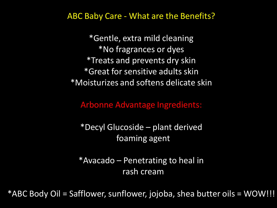### ABC Baby Care - What are the Benefits?

\*Gentle, extra mild cleaning \*No fragrances or dyes \*Treats and prevents dry skin \*Great for sensitive adults skin \*Moisturizes and softens delicate skin

Arbonne Advantage Ingredients:

\*Decyl Glucoside – plant derived foaming agent

\*Avacado – Penetrating to heal in rash cream

\*ABC Body Oil = Safflower, sunflower, jojoba, shea butter oils = WOW!!!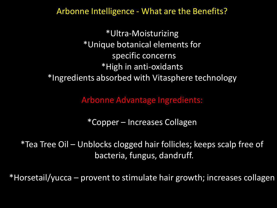### Arbonne Intelligence - What are the Benefits?

\*Ultra-Moisturizing \*Unique botanical elements for specific concerns \*High in anti-oxidants \*Ingredients absorbed with Vitasphere technology

Arbonne Advantage Ingredients:

\*Copper – Increases Collagen

\*Tea Tree Oil – Unblocks clogged hair follicles; keeps scalp free of bacteria, fungus, dandruff.

\*Horsetail/yucca – provent to stimulate hair growth; increases collagen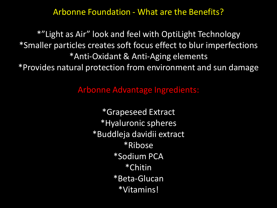### Arbonne Foundation - What are the Benefits?

\*"Light as Air" look and feel with OptiLight Technology \*Smaller particles creates soft focus effect to blur imperfections \*Anti-Oxidant & Anti-Aging elements \*Provides natural protection from environment and sun damage

Arbonne Advantage Ingredients:

\*Grapeseed Extract \*Hyaluronic spheres \*Buddleja davidii extract \*Ribose \*Sodium PCA \*Chitin \*Beta-Glucan \*Vitamins!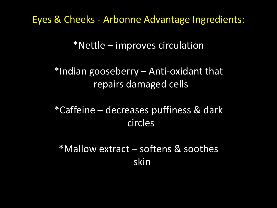Eyes & Cheeks - Arbonne Advantage Ingredients:

\*Nettle – improves circulation

\*Indian gooseberry – Anti-oxidant that repairs damaged cells

\*Caffeine – decreases puffiness & dark circles

\*Mallow extract – softens & soothes skin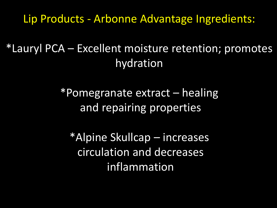Lip Products - Arbonne Advantage Ingredients:

\*Lauryl PCA – Excellent moisture retention; promotes hydration

> \*Pomegranate extract – healing and repairing properties

\*Alpine Skullcap – increases circulation and decreases inflammation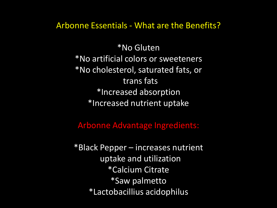Arbonne Essentials - What are the Benefits?

\*No Gluten \*No artificial colors or sweeteners \*No cholesterol, saturated fats, or trans fats \*Increased absorption \*Increased nutrient uptake

Arbonne Advantage Ingredients:

\*Black Pepper – increases nutrient uptake and utilization \*Calcium Citrate \*Saw palmetto \*Lactobacillius acidophilus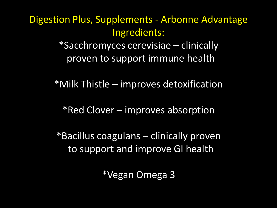# Digestion Plus, Supplements - Arbonne Advantage Ingredients:

\*Sacchromyces cerevisiae – clinically proven to support immune health

\*Milk Thistle – improves detoxification

\*Red Clover – improves absorption

\*Bacillus coagulans – clinically proven to support and improve GI health

\*Vegan Omega 3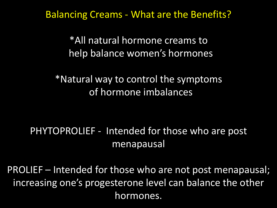Balancing Creams - What are the Benefits?

\*All natural hormone creams to help balance women's hormones

\*Natural way to control the symptoms of hormone imbalances

## PHYTOPROLIEF - Intended for those who are post menapausal

PROLIEF – Intended for those who are not post menapausal; increasing one's progesterone level can balance the other hormones.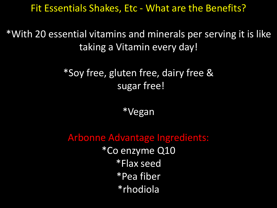## Fit Essentials Shakes, Etc - What are the Benefits?

\*With 20 essential vitamins and minerals per serving it is like taking a Vitamin every day!

## \*Soy free, gluten free, dairy free & sugar free!

\*Vegan

Arbonne Advantage Ingredients: \*Co enzyme Q10 \*Flax seed \*Pea fiber \*rhodiola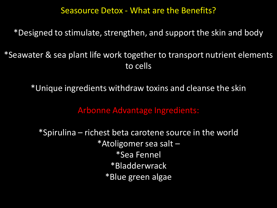### Seasource Detox - What are the Benefits?

\*Designed to stimulate, strengthen, and support the skin and body

\*Seawater & sea plant life work together to transport nutrient elements to cells

\*Unique ingredients withdraw toxins and cleanse the skin

Arbonne Advantage Ingredients:

\*Spirulina – richest beta carotene source in the world \*Atoligomer sea salt – \*Sea Fennel \*Bladderwrack \*Blue green algae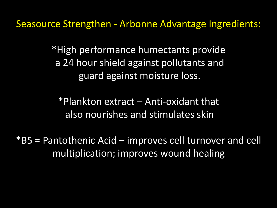Seasource Strengthen - Arbonne Advantage Ingredients:

\*High performance humectants provide a 24 hour shield against pollutants and guard against moisture loss.

\*Plankton extract – Anti-oxidant that also nourishes and stimulates skin

\*B5 = Pantothenic Acid – improves cell turnover and cell multiplication; improves wound healing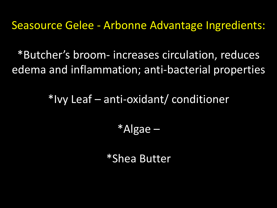Seasource Gelee - Arbonne Advantage Ingredients:

\*Butcher's broom- increases circulation, reduces edema and inflammation; anti-bacterial properties

\*Ivy Leaf – anti-oxidant/ conditioner

\*Algae –

\*Shea Butter